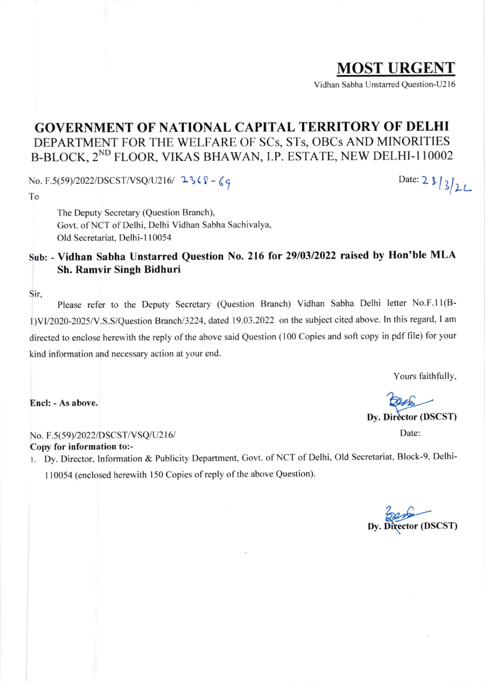## GOVERNMENT OF NATIONAL CAPITAL TERRITORY OF DELHI DEPARTMENT FOR THE WELFARE OF SCS, STS, OBCS AND MINORITIES B-BLOCK,2ND FLOOR, VIKAS BHAWAN, I.P. ESTATE, NEW DELHI-1IOOO2

No. F.5(59)/2022/DSCST/VSQ/U216/  $2\sqrt{2}$  ( $\sqrt{9}$  -  $\sqrt{9}$ To

> The Deputy Secretary (Question Branch), Gort. of NCT of Delhi, Delhi Vidhan Sabha Sachivalya, Old Secretariat, Delhi-l 10054

## Sub: - Vidhan Sabha Unstarred Question No. 216 for 29/03/2022 raised by Hon'ble MLA Sh. Ramvir Singh Bidhuri

Sir.

Please refer to the Deputy Secretary (Question Branch) Vidhan Sabha Delhi letter No.F.l l(Bl)VI/2020-2025/V.S.S/Question Branch/3224, dated 19.03.2022 on the subject cited above. In this regard, I am directed to enclose herewith the reply of the above said Question (100 Copies and soft copy in pdf file) for your kind information and necessary action at your end.

Yours faithfully,

Encl: - As above.

No. F.5(59)/2022/DSCST/VSQ/U216/ Date: Copy for information to:-

l. Dy. Director, lnformation & Publicity Department, Govt. of NCT of Delhi, Old Secretariat, Block-9, Delhi-110054 (enclosed herewith 150 Copies of reply of the above Question).

by. Director (DSCST)

Dy. Director (DSCST)

Date:  $2 \frac{1}{3}$  |  $\frac{1}{2}$ 

MOST URGENT

Vidhan Sabha Unstarred Ouestion-U216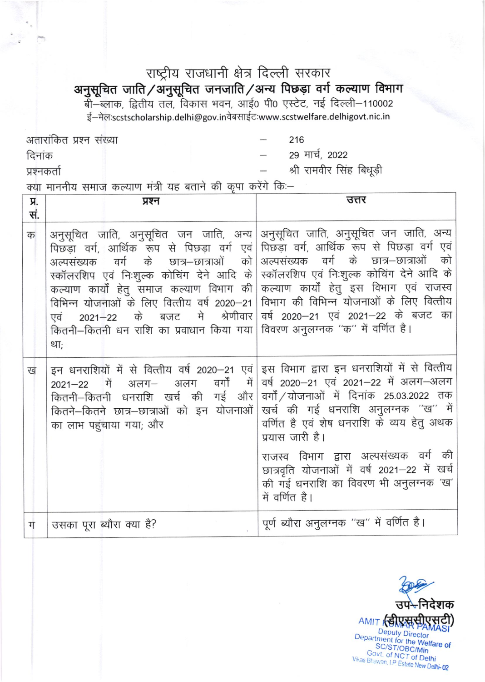## राष्ट्रीय राजधानी क्षेत्र दिल्ली सरकार अनुसूचित जाति/अनुसूचित जनजाति/अन्य पिछड़ा वर्ग कल्याण विभाग<br>बी–ब्लाक, द्वितीय तल, विकास भवन, आई0 पी0 एस्टेट, नई दिल्ली–110002

ई-मेल:scstscholarship.delhi@gov.inवेबसाईट:www.scstwelfare.delhigovt.nic.in

अतारांकित प्रश्न संख्या

216

दिनांक

प्रश्नकर्ता

29 मार्च, 2022

श्री रामवीर सिंह बिधूड़ी

क्या माननीय समाज कल्याण मंत्री यह बताने की कृपा करेंगे कि:-

| Я.<br>सं. | प्रश्न                                                                                                                                                                                                                                                                                                                                                                                                                                                                                                                                                                      | उत्तर                                                                                                                                                                                                    |
|-----------|-----------------------------------------------------------------------------------------------------------------------------------------------------------------------------------------------------------------------------------------------------------------------------------------------------------------------------------------------------------------------------------------------------------------------------------------------------------------------------------------------------------------------------------------------------------------------------|----------------------------------------------------------------------------------------------------------------------------------------------------------------------------------------------------------|
| क         | अनुसूचित जाति, अनुसूचित जन जाति, अन्य अनुसूचित जाति, अनुसूचित जन जाति, अन्य <br>पिछड़ा वर्ग, आर्थिक रूप से पिछड़ा वर्ग एवं पिछड़ा वर्ग, आर्थिक रूप से पिछड़ा वर्ग एवं<br>अल्पसंख्यक वर्ग के छात्र–छात्राओं को।<br>रकॉलरशिप एवं निःशुल्क कोचिंग देने आदि के स्कॉलरशिप एवं निःशुल्क कोचिंग देने आदि के<br>कल्याण कार्यों हेतु समाज कल्याण विभाग की कल्याण कार्यों हेतु इस विभाग एवं राजस्व<br>विभिन्न योजनाओं के लिए वित्तीय वर्ष 2020-21 विभाग की विभिन्न योजनाओं के लिए वित्तीय<br>एवं<br>कितनी-कितनी धन राशि का प्रवाधान किया गया विवरण अनुलग्नक "क" में वर्णित है।<br>था; | अल्पसंख्यक वर्ग के छात्र–छात्राओं को<br>2021-22 के बजट मे श्रेणीवार वर्ष 2020-21 एवं 2021-22 के बजट का                                                                                                   |
| ख         | इन धनराशियों में से वित्तीय वर्ष 2020-21 एवं इस विभाग द्वारा इन धनराशियों में से वित्तीय<br>में<br>अलग<br>अलग—<br>$2021 - 22$<br>कितनी-कितनी धनराशि खर्च की गई और वर्गों /योजनाओं में दिनांक 25.03.2022 तक<br>कितने-कितने छात्र-छात्राओं को इन योजनाओं खर्च की गई धनराशि अनुलग्नक "ख" में<br>का लाभ पहुंचाया गया; और                                                                                                                                                                                                                                                        | वर्गों में वर्ष 2020-21 एवं 2021-22 में अलग-अलग<br>वर्णित है एवं शेष धनराशि के व्यय हेतु अथक<br>प्रयास जारी है।<br>राजस्व विभाग द्वारा अल्पसंख्यक वर्ग की<br>छात्रवृति योजनाओं में वर्ष 2021–22 में खर्च |
|           |                                                                                                                                                                                                                                                                                                                                                                                                                                                                                                                                                                             | की गई धनराशि का विवरण भी अनुलग्नक 'ख'<br>में वर्णित है।                                                                                                                                                  |
| ग         | उसका पूरा ब्यौरा क्या है?                                                                                                                                                                                                                                                                                                                                                                                                                                                                                                                                                   | पूर्ण ब्यौरा अनुलग्नक "ख" में वर्णित है।                                                                                                                                                                 |